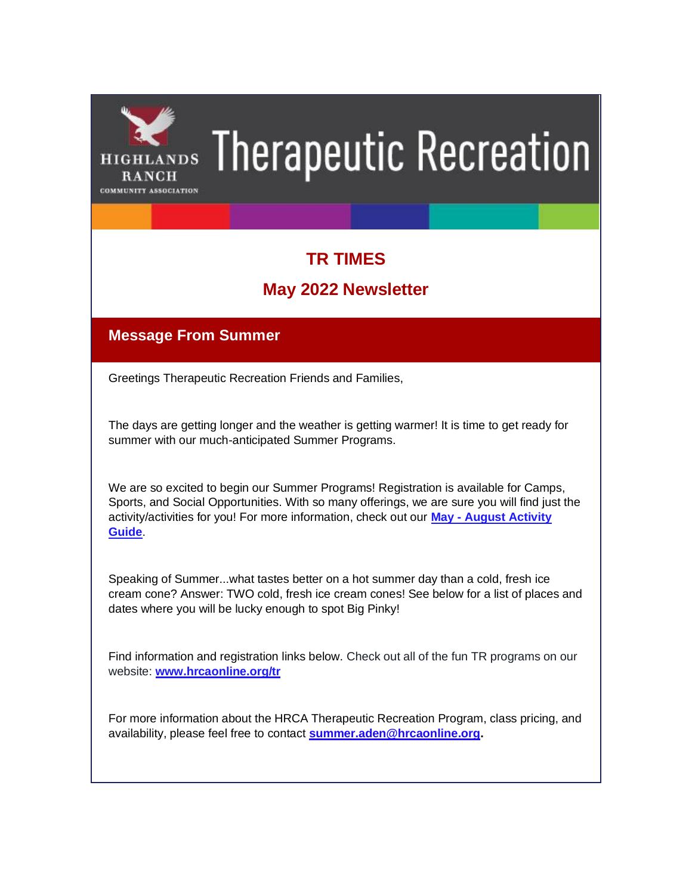

# **Therapeutic Recreation**

# **TR TIMES**

# **May 2022 Newsletter**

# **Message From Summer**

Greetings Therapeutic Recreation Friends and Families,

The days are getting longer and the weather is getting warmer! It is time to get ready for summer with our much-anticipated Summer Programs.

We are so excited to begin our Summer Programs! Registration is available for Camps, Sports, and Social Opportunities. With so many offerings, we are sure you will find just the activity/activities for you! For more information, check out our **May - [August Activity](https://hrcaonline.org/Portals/0/docs/pdf/theraputic%20rec/May-August%202022%20Activity%20Guide_TR%20finals%20(002).pdf?ver=ii4pCgOMLI5QLJ8EWUM8Pg%3d%3d)  [Guide](https://hrcaonline.org/Portals/0/docs/pdf/theraputic%20rec/May-August%202022%20Activity%20Guide_TR%20finals%20(002).pdf?ver=ii4pCgOMLI5QLJ8EWUM8Pg%3d%3d)**.

Speaking of Summer...what tastes better on a hot summer day than a cold, fresh ice cream cone? Answer: TWO cold, fresh ice cream cones! See below for a list of places and dates where you will be lucky enough to spot Big Pinky!

Find information and registration links below. Check out all of the fun TR programs on our website: **[www.hrcaonline.org/tr](https://hrcaonline.org/classes-camps-activities/therapeutic-recreation/therapeutic-recreation-classes-events)**

For more information about the HRCA Therapeutic Recreation Program, class pricing, and availability, please feel free to contact **[summer.aden@hrcaonline.org.](mailto:Summer.Aden@HRCAOnline.org)**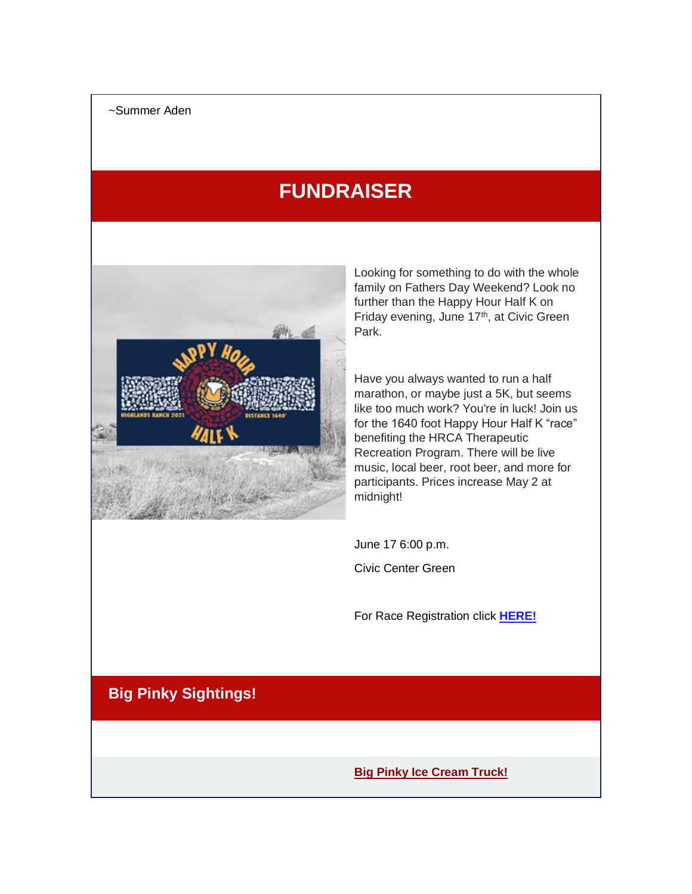# **FUNDRAISER**



Looking for something to do with the whole family on Fathers Day Weekend? Look no further than the Happy Hour Half K on Friday evening, June 17<sup>th</sup>, at Civic Green Park.

Have you always wanted to run a half marathon, or maybe just a 5K, but seems like too much work? You're in luck! Join us for the 1640 foot Happy Hour Half K "race" benefiting the HRCA Therapeutic Recreation Program. There will be live music, local beer, root beer, and more for participants. Prices increase May 2 at midnight!

June 17 6:00 p.m.

Civic Center Green

For Race Registration click **[HERE!](https://runsignup.com/Race/CO/Littleton/HRCAHappyHourHalfK)**

# **Big Pinky Sightings!**

**Big Pinky Ice Cream Truck!**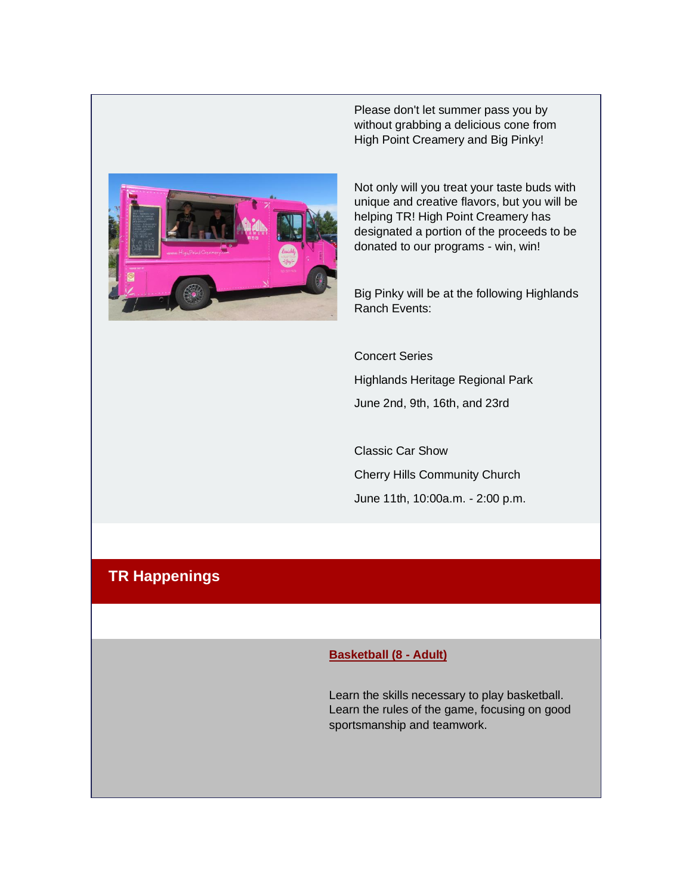

Please don't let summer pass you by without grabbing a delicious cone from High Point Creamery and Big Pinky!

Not only will you treat your taste buds with unique and creative flavors, but you will be helping TR! High Point Creamery has designated a portion of the proceeds to be donated to our programs - win, win!

Big Pinky will be at the following Highlands Ranch Events:

Concert Series

Highlands Heritage Regional Park June 2nd, 9th, 16th, and 23rd

Classic Car Show Cherry Hills Community Church June 11th, 10:00a.m. - 2:00 p.m.

### **TR Happenings**

#### **Basketball (8 - Adult)**

Learn the skills necessary to play basketball. Learn the rules of the game, focusing on good sportsmanship and teamwork.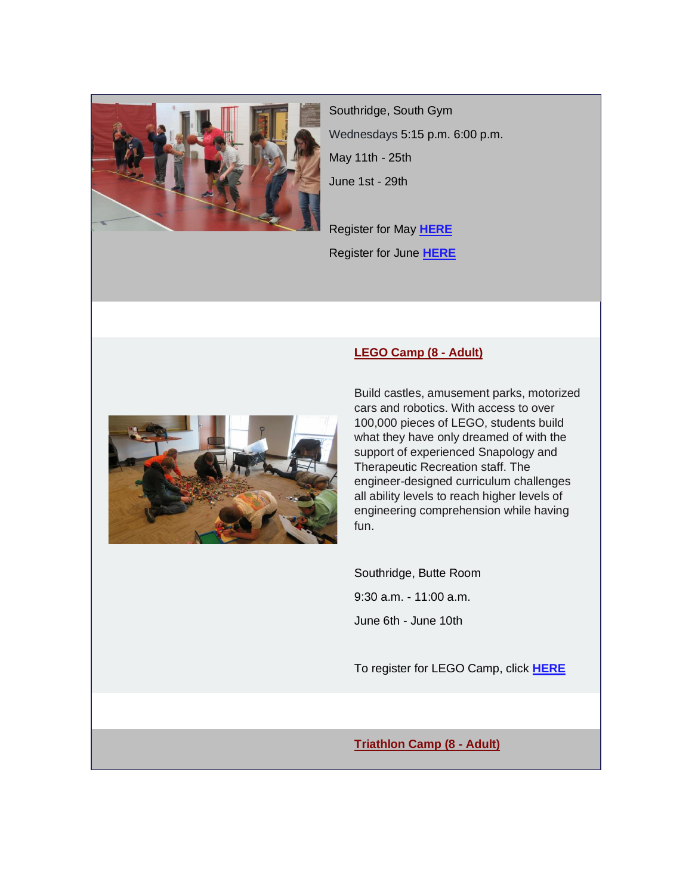

Southridge, South Gym Wednesdays 5:15 p.m. 6:00 p.m. May 11th - 25th June 1st - 29th

Register for May **[HERE](https://registration.hrcaonline.org/22843/Facilities/BookMe4LandingPages/CoursesLandingPage?widgetId=d25c001d-b7a9-491b-b7bc-75939f810da8&embed=False&redirectedFromEmbededMode=False&courseId=2b06afe0-1a1a-419b-8b2d-7c8d13aa3dc4)** Register for June **[HERE](https://registration.hrcaonline.org/22843/Facilities/BookMe4LandingPages/CoursesLandingPage?widgetId=d25c001d-b7a9-491b-b7bc-75939f810da8&embed=False&redirectedFromEmbededMode=False&courseId=ec9ba6d9-0cfb-4fcf-a229-a29cd0f6c279)**

**LEGO Camp (8 - Adult)**



#### Build castles, amusement parks, motorized cars and robotics. With access to over 100,000 pieces of LEGO, students build what they have only dreamed of with the support of experienced Snapology and Therapeutic Recreation staff. The engineer-designed curriculum challenges all ability levels to reach higher levels of engineering comprehension while having fun.

Southridge, Butte Room 9:30 a.m. - 11:00 a.m. June 6th - June 10th

To register for LEGO Camp, click **[HERE](https://highlandsranchcommunityassociation.perfectmind.com/22843/Facilities/BookMe4LandingPages/CoursesLandingPage?widgetId=d25c001d-b7a9-491b-b7bc-75939f810da8&embed=False&redirectedFromEmbededMode=False&courseId=ffd6e775-62ea-4b93-9d44-50dfb6c44bee)**

#### **Triathlon Camp (8 - Adult)**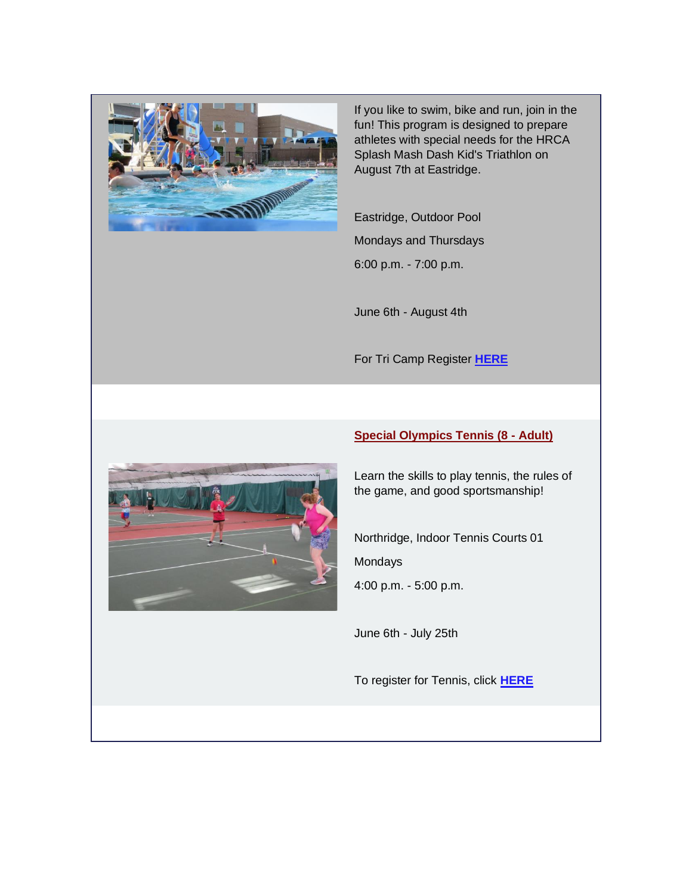

If you like to swim, bike and run, join in the fun! This program is designed to prepare athletes with special needs for the HRCA Splash Mash Dash Kid's Triathlon on August 7th at Eastridge.

Eastridge, Outdoor Pool Mondays and Thursdays

6:00 p.m. - 7:00 p.m.

June 6th - August 4th

For Tri Camp Register **[HERE](https://highlandsranchcommunityassociation.perfectmind.com/22843/Facilities/BookMe4LandingPages/CoursesLandingPage?widgetId=d25c001d-b7a9-491b-b7bc-75939f810da8&embed=False&redirectedFromEmbededMode=False&courseId=b63e7db9-48be-49d7-94b5-f8da4d75d8f6)**



#### **Special Olympics Tennis (8 - Adult)**

Learn the skills to play tennis, the rules of the game, and good sportsmanship!

Northridge, Indoor Tennis Courts 01 Mondays

4:00 p.m. - 5:00 p.m.

June 6th - July 25th

To register for Tennis, click **[HERE](https://highlandsranchcommunityassociation.perfectmind.com/22843/Facilities/BookMe4LandingPages/CoursesLandingPage?widgetId=d25c001d-b7a9-491b-b7bc-75939f810da8&embed=False&redirectedFromEmbededMode=False&courseId=027b0694-3730-410f-8675-55e4da6c2fbd)**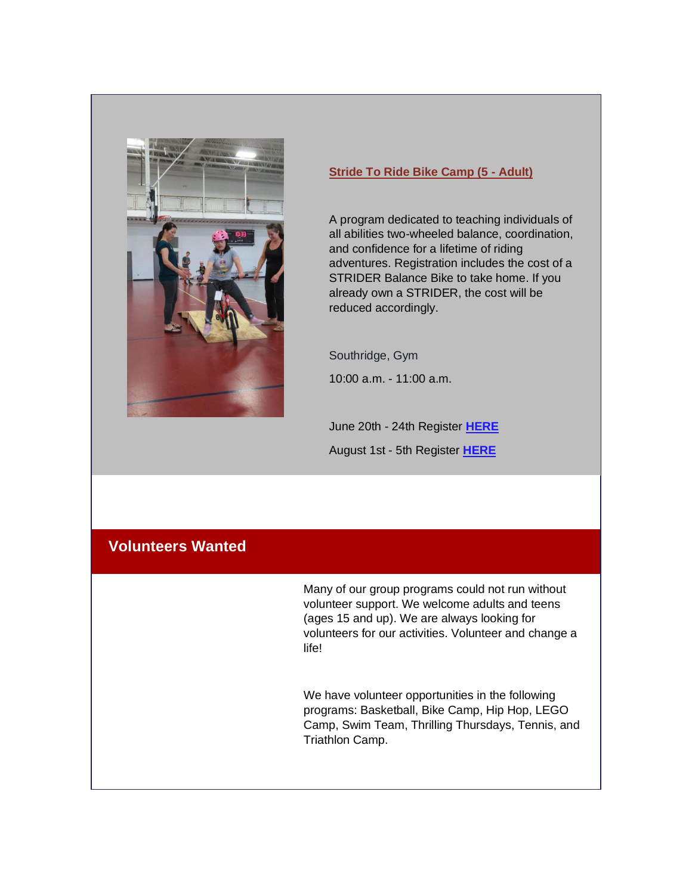

#### **Stride To Ride Bike Camp (5 - Adult)**

A program dedicated to teaching individuals of all abilities two-wheeled balance, coordination, and confidence for a lifetime of riding adventures. Registration includes the cost of a STRIDER Balance Bike to take home. If you already own a STRIDER, the cost will be reduced accordingly.

Southridge, Gym

10:00 a.m. - 11:00 a.m.

June 20th - 24th Register **[HERE](https://registration.hrcaonline.org/22843/Facilities/BookMe4LandingPages/CoursesLandingPage?widgetId=d25c001d-b7a9-491b-b7bc-75939f810da8&embed=False&redirectedFromEmbededMode=False&courseId=92bac04d-4423-4bc1-a334-e5c1613c62d2)** August 1st - 5th Register **[HERE](https://registration.hrcaonline.org/22843/Facilities/BookMe4LandingPages/CoursesLandingPage?widgetId=d25c001d-b7a9-491b-b7bc-75939f810da8&embed=False&redirectedFromEmbededMode=False&courseId=afc796e2-52fc-42b3-be43-89215bc425ba)**

#### **Volunteers Wanted**

Many of our group programs could not run without volunteer support. We welcome adults and teens (ages 15 and up). We are always looking for volunteers for our activities. Volunteer and change a life!

We have volunteer opportunities in the following programs: Basketball, Bike Camp, Hip Hop, LEGO Camp, Swim Team, Thrilling Thursdays, Tennis, and Triathlon Camp.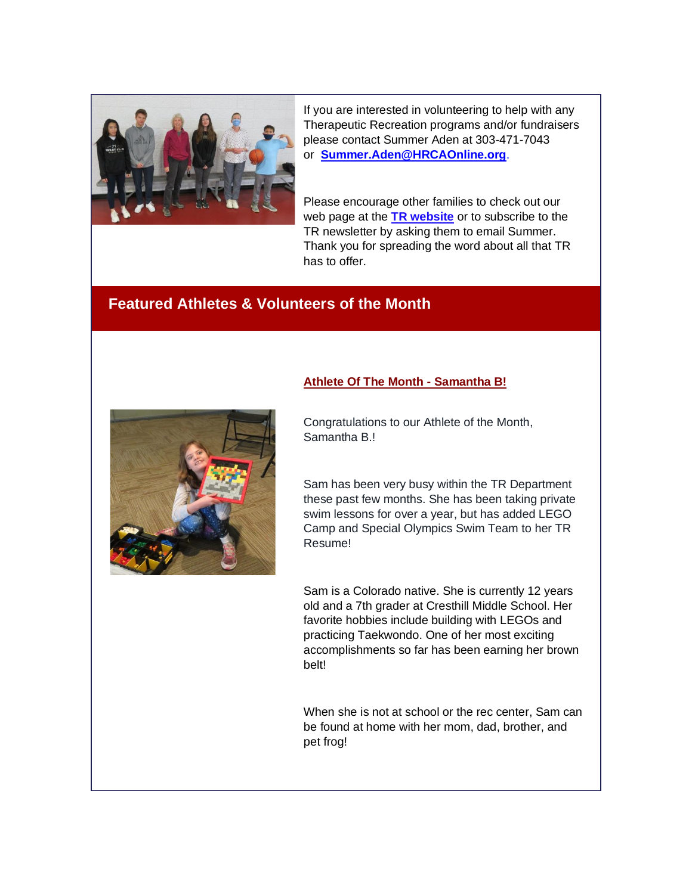

If you are interested in volunteering to help with any Therapeutic Recreation programs and/or fundraisers please contact Summer Aden at 303-471-7043 or **[Summer.Aden@HRCAOnline.org](mailto:Summer.Aden@HRCAOnline.org)**.

Please encourage other families to check out our web page at the **[TR website](https://hrcaonline.org/classes-camps-activities/therapeutic-recreation/therapeutic-recreation-classes-events)** or to subscribe to the TR newsletter by asking them to email Summer. Thank you for spreading the word about all that TR has to offer.

#### **Featured Athletes & Volunteers of the Month**



# **Athlete Of The Month - Samantha B!**

Congratulations to our Athlete of the Month, Samantha B.!

Sam has been very busy within the TR Department these past few months. She has been taking private swim lessons for over a year, but has added LEGO Camp and Special Olympics Swim Team to her TR Resume!

Sam is a Colorado native. She is currently 12 years old and a 7th grader at Cresthill Middle School. Her favorite hobbies include building with LEGOs and practicing Taekwondo. One of her most exciting accomplishments so far has been earning her brown belt!

When she is not at school or the rec center, Sam can be found at home with her mom, dad, brother, and pet frog!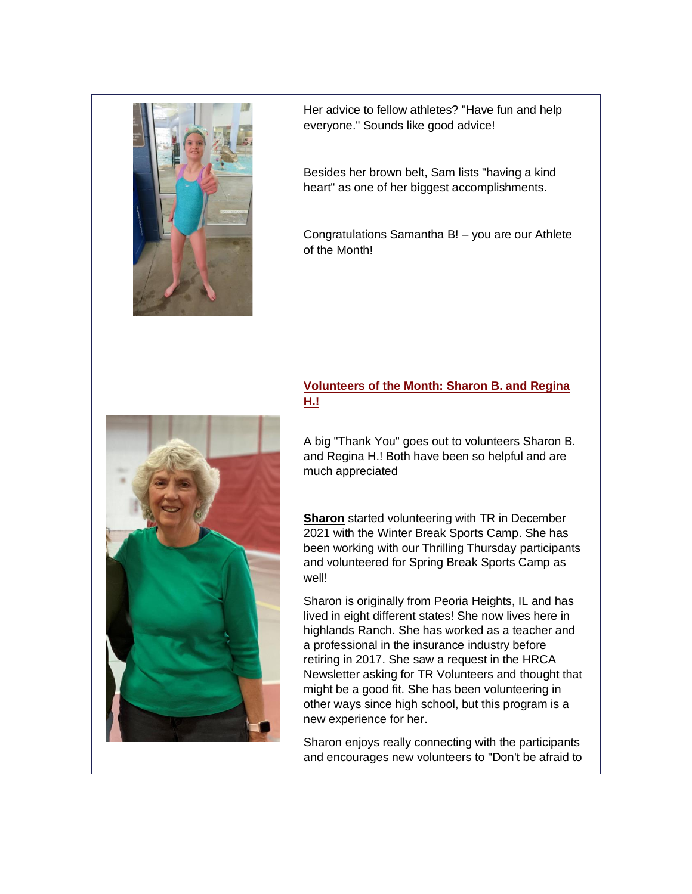

Her advice to fellow athletes? "Have fun and help everyone." Sounds like good advice!

Besides her brown belt, Sam lists "having a kind heart" as one of her biggest accomplishments.

Congratulations Samantha B! – you are our Athlete of the Month!

#### **Volunteers of the Month: Sharon B. and Regina H.!**

A big "Thank You" goes out to volunteers Sharon B. and Regina H.! Both have been so helpful and are much appreciated

**Sharon** started volunteering with TR in December 2021 with the Winter Break Sports Camp. She has been working with our Thrilling Thursday participants and volunteered for Spring Break Sports Camp as well!

Sharon is originally from Peoria Heights, IL and has lived in eight different states! She now lives here in highlands Ranch. She has worked as a teacher and a professional in the insurance industry before retiring in 2017. She saw a request in the HRCA Newsletter asking for TR Volunteers and thought that might be a good fit. She has been volunteering in other ways since high school, but this program is a new experience for her.

Sharon enjoys really connecting with the participants and encourages new volunteers to "Don't be afraid to

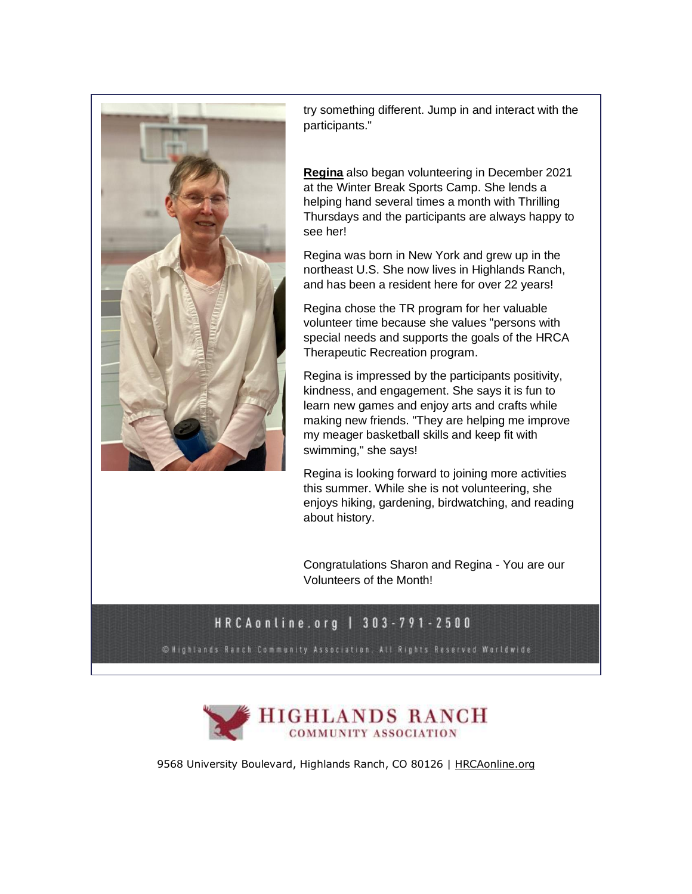

try something different. Jump in and interact with the participants."

**Regina** also began volunteering in December 2021 at the Winter Break Sports Camp. She lends a helping hand several times a month with Thrilling Thursdays and the participants are always happy to see her!

Regina was born in New York and grew up in the northeast U.S. She now lives in Highlands Ranch, and has been a resident here for over 22 years!

Regina chose the TR program for her valuable volunteer time because she values "persons with special needs and supports the goals of the HRCA Therapeutic Recreation program.

Regina is impressed by the participants positivity, kindness, and engagement. She says it is fun to learn new games and enjoy arts and crafts while making new friends. "They are helping me improve my meager basketball skills and keep fit with swimming," she says!

Regina is looking forward to joining more activities this summer. While she is not volunteering, she enjoys hiking, gardening, birdwatching, and reading about history.

Congratulations Sharon and Regina - You are our Volunteers of the Month!

## HRCAonline.org | 303-791-2500

**© Highlands Ranch Community Association, All Rights Reserved Worldwide** 



9568 University Boulevard, Highlands Ranch, CO 80126 | [HRCAonline.org](http://www.hrcaonline.org/)